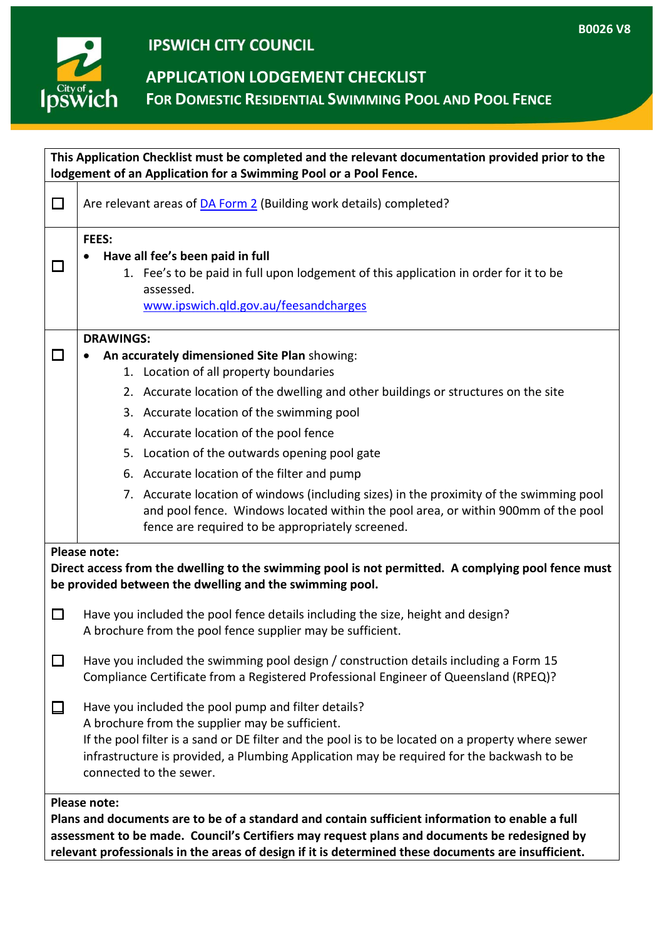## **IPSWICH CITY COUNCIL**

**APPLICATION LODGEMENT CHECKLIST**

**FOR DOMESTIC RESIDENTIAL SWIMMING POOL AND POOL FENCE**

| This Application Checklist must be completed and the relevant documentation provided prior to the<br>lodgement of an Application for a Swimming Pool or a Pool Fence.                                                                                                                                                         |                                                                                                                                                                                                                                  |
|-------------------------------------------------------------------------------------------------------------------------------------------------------------------------------------------------------------------------------------------------------------------------------------------------------------------------------|----------------------------------------------------------------------------------------------------------------------------------------------------------------------------------------------------------------------------------|
|                                                                                                                                                                                                                                                                                                                               |                                                                                                                                                                                                                                  |
| □                                                                                                                                                                                                                                                                                                                             | Are relevant areas of <b>DA Form 2</b> (Building work details) completed?                                                                                                                                                        |
|                                                                                                                                                                                                                                                                                                                               | FEES:<br>Have all fee's been paid in full                                                                                                                                                                                        |
| H                                                                                                                                                                                                                                                                                                                             | 1. Fee's to be paid in full upon lodgement of this application in order for it to be                                                                                                                                             |
|                                                                                                                                                                                                                                                                                                                               | assessed.                                                                                                                                                                                                                        |
|                                                                                                                                                                                                                                                                                                                               | www.ipswich.qld.gov.au/feesandcharges                                                                                                                                                                                            |
|                                                                                                                                                                                                                                                                                                                               | <b>DRAWINGS:</b>                                                                                                                                                                                                                 |
| □                                                                                                                                                                                                                                                                                                                             | An accurately dimensioned Site Plan showing:                                                                                                                                                                                     |
|                                                                                                                                                                                                                                                                                                                               | 1. Location of all property boundaries                                                                                                                                                                                           |
|                                                                                                                                                                                                                                                                                                                               | 2. Accurate location of the dwelling and other buildings or structures on the site                                                                                                                                               |
|                                                                                                                                                                                                                                                                                                                               | 3. Accurate location of the swimming pool                                                                                                                                                                                        |
|                                                                                                                                                                                                                                                                                                                               | 4. Accurate location of the pool fence                                                                                                                                                                                           |
|                                                                                                                                                                                                                                                                                                                               | 5. Location of the outwards opening pool gate                                                                                                                                                                                    |
|                                                                                                                                                                                                                                                                                                                               | 6. Accurate location of the filter and pump                                                                                                                                                                                      |
|                                                                                                                                                                                                                                                                                                                               | 7. Accurate location of windows (including sizes) in the proximity of the swimming pool<br>and pool fence. Windows located within the pool area, or within 900mm of the pool<br>fence are required to be appropriately screened. |
| Please note:<br>Direct access from the dwelling to the swimming pool is not permitted. A complying pool fence must<br>be provided between the dwelling and the swimming pool.                                                                                                                                                 |                                                                                                                                                                                                                                  |
| □                                                                                                                                                                                                                                                                                                                             | Have you included the pool fence details including the size, height and design?<br>A brochure from the pool fence supplier may be sufficient.                                                                                    |
| □                                                                                                                                                                                                                                                                                                                             | Have you included the swimming pool design / construction details including a Form 15<br>Compliance Certificate from a Registered Professional Engineer of Queensland (RPEQ)?                                                    |
| $\Box$                                                                                                                                                                                                                                                                                                                        | Have you included the pool pump and filter details?<br>A brochure from the supplier may be sufficient.                                                                                                                           |
|                                                                                                                                                                                                                                                                                                                               | If the pool filter is a sand or DE filter and the pool is to be located on a property where sewer<br>infrastructure is provided, a Plumbing Application may be required for the backwash to be<br>connected to the sewer.        |
| <b>Please note:</b><br>Plans and documents are to be of a standard and contain sufficient information to enable a full<br>assessment to be made. Council's Certifiers may request plans and documents be redesigned by<br>relevant professionals in the areas of design if it is determined these documents are insufficient. |                                                                                                                                                                                                                                  |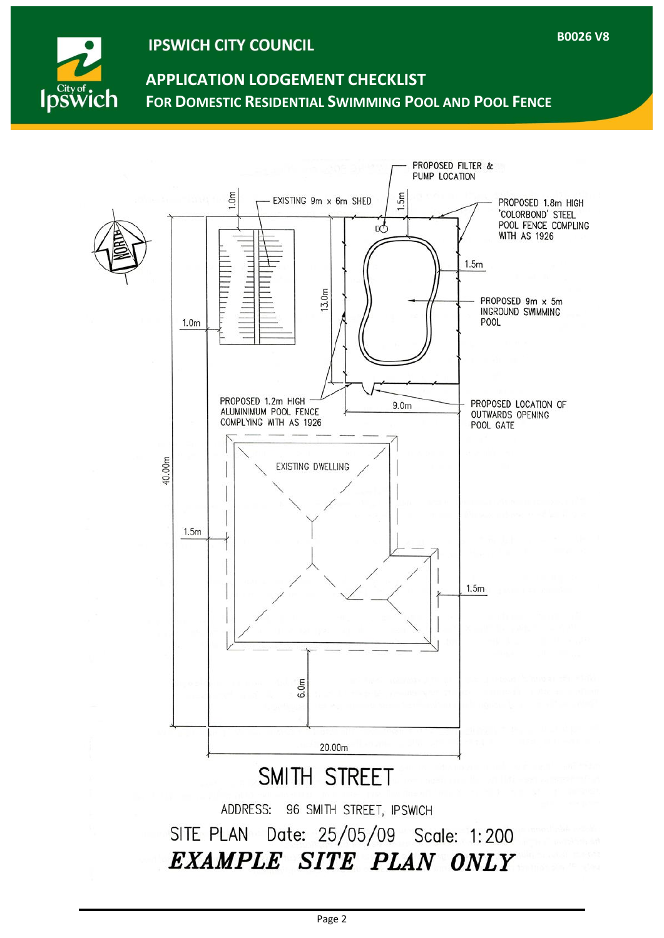

### **IPSWICH CITY COUNCIL**

# **APPLICATION LODGEMENT CHECKLIST FOR DOMESTIC RESIDENTIAL SWIMMING POOL AND POOL FENCE**